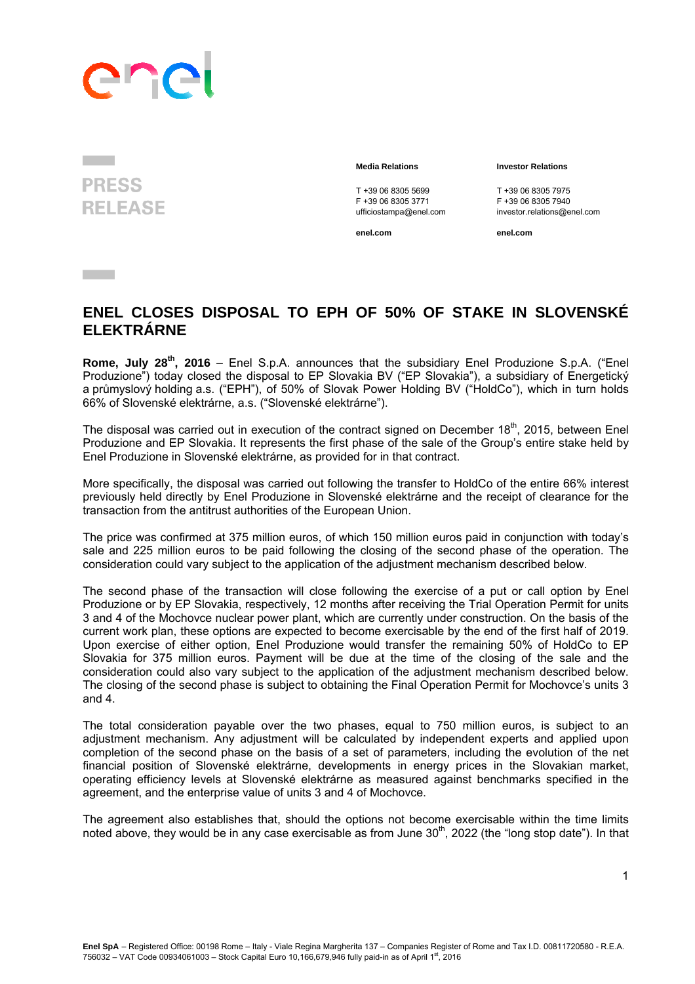## ane

**PRESS RELEASE** 

**Contract Contract** 

T +39 06 8305 5699<br>
F +39 06 8305 3771<br>
F +39 06 8305 3771<br>
F +39 06 8305 7940 F +39 06 8305 3771 F +39 06 8305 7940

 **Media Relations Investor Relations** 

investor.relations@enel.com

**enel.com enel.com**

## **ENEL CLOSES DISPOSAL TO EPH OF 50% OF STAKE IN SLOVENSKÉ ELEKTRÁRNE**

Rome, July 28<sup>th</sup>, 2016 – Enel S.p.A. announces that the subsidiary Enel Produzione S.p.A. ("Enel Produzione") today closed the disposal to EP Slovakia BV ("EP Slovakia"), a subsidiary of Energetický a průmyslový holding a.s. ("EPH"), of 50% of Slovak Power Holding BV ("HoldCo"), which in turn holds 66% of Slovenské elektrárne, a.s. ("Slovenské elektrárne").

The disposal was carried out in execution of the contract signed on December  $18<sup>th</sup>$ , 2015, between Enel Produzione and EP Slovakia. It represents the first phase of the sale of the Group's entire stake held by Enel Produzione in Slovenské elektrárne, as provided for in that contract.

More specifically, the disposal was carried out following the transfer to HoldCo of the entire 66% interest previously held directly by Enel Produzione in Slovenské elektrárne and the receipt of clearance for the transaction from the antitrust authorities of the European Union.

The price was confirmed at 375 million euros, of which 150 million euros paid in conjunction with today's sale and 225 million euros to be paid following the closing of the second phase of the operation. The consideration could vary subject to the application of the adjustment mechanism described below.

The second phase of the transaction will close following the exercise of a put or call option by Enel Produzione or by EP Slovakia, respectively, 12 months after receiving the Trial Operation Permit for units 3 and 4 of the Mochovce nuclear power plant, which are currently under construction. On the basis of the current work plan, these options are expected to become exercisable by the end of the first half of 2019. Upon exercise of either option, Enel Produzione would transfer the remaining 50% of HoldCo to EP Slovakia for 375 million euros. Payment will be due at the time of the closing of the sale and the consideration could also vary subject to the application of the adjustment mechanism described below. The closing of the second phase is subject to obtaining the Final Operation Permit for Mochovce's units 3 and 4.

The total consideration payable over the two phases, equal to 750 million euros, is subject to an adjustment mechanism. Any adjustment will be calculated by independent experts and applied upon completion of the second phase on the basis of a set of parameters, including the evolution of the net financial position of Slovenské elektrárne, developments in energy prices in the Slovakian market, operating efficiency levels at Slovenské elektrárne as measured against benchmarks specified in the agreement, and the enterprise value of units 3 and 4 of Mochovce.

The agreement also establishes that, should the options not become exercisable within the time limits noted above, they would be in any case exercisable as from June 30<sup>th</sup>, 2022 (the "long stop date"). In that